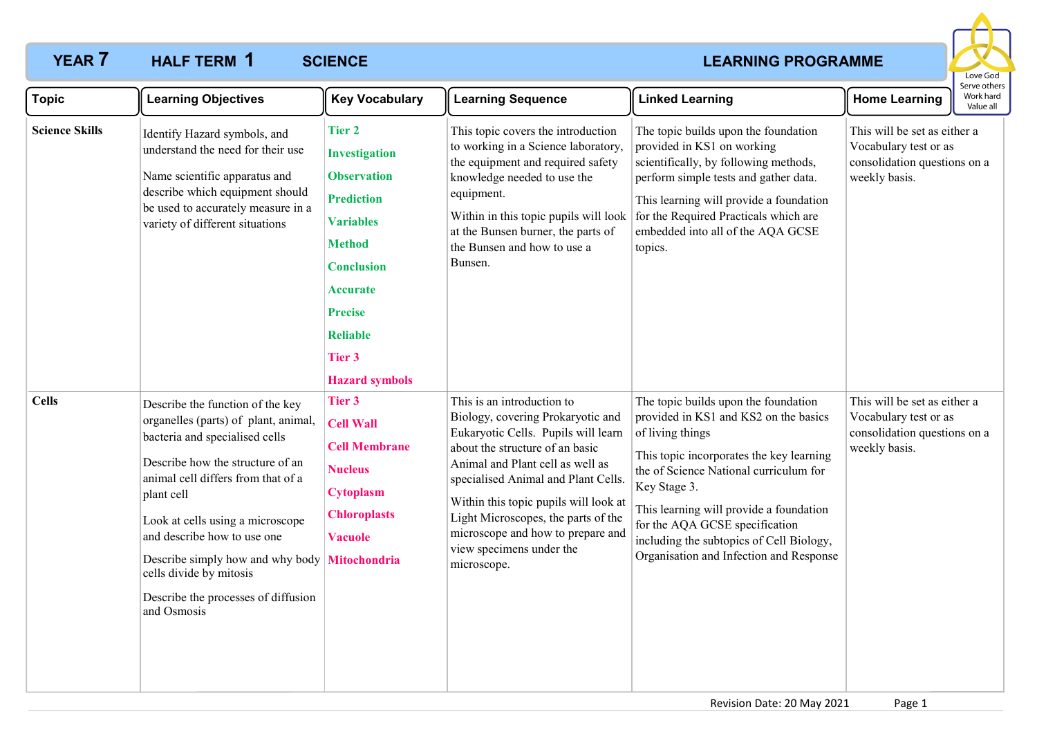# **YEAR 7 HALF TERM 1** SCIENCE **All 2009 CONVERTS AND THE CONVERTS AND REARNING PROGRAMME**



| <b>Topic</b>          | <b>Learning Objectives</b>                                                                                                                                                                                                                                                                                                                                                                 | <b>Key Vocabulary</b>                                                                                                                                                                                                                 | <b>Learning Sequence</b>                                                                                                                                                                                                                                                                                                                                                             | <b>Linked Learning</b>                                                                                                                                                                                                                                                                                                                                                      | <b>Home Learning</b>                                                                                   | Serve others<br>Work hard<br>Value all |
|-----------------------|--------------------------------------------------------------------------------------------------------------------------------------------------------------------------------------------------------------------------------------------------------------------------------------------------------------------------------------------------------------------------------------------|---------------------------------------------------------------------------------------------------------------------------------------------------------------------------------------------------------------------------------------|--------------------------------------------------------------------------------------------------------------------------------------------------------------------------------------------------------------------------------------------------------------------------------------------------------------------------------------------------------------------------------------|-----------------------------------------------------------------------------------------------------------------------------------------------------------------------------------------------------------------------------------------------------------------------------------------------------------------------------------------------------------------------------|--------------------------------------------------------------------------------------------------------|----------------------------------------|
| <b>Science Skills</b> | Identify Hazard symbols, and<br>understand the need for their use<br>Name scientific apparatus and<br>describe which equipment should<br>be used to accurately measure in a<br>variety of different situations                                                                                                                                                                             | <b>Tier 2</b><br><b>Investigation</b><br><b>Observation</b><br><b>Prediction</b><br><b>Variables</b><br><b>Method</b><br><b>Conclusion</b><br>Accurate<br><b>Precise</b><br><b>Reliable</b><br><b>Tier 3</b><br><b>Hazard symbols</b> | This topic covers the introduction<br>to working in a Science laboratory<br>the equipment and required safety<br>knowledge needed to use the<br>equipment.<br>Within in this topic pupils will look<br>at the Bunsen burner, the parts of<br>the Bunsen and how to use a<br>Bunsen.                                                                                                  | The topic builds upon the foundation<br>provided in KS1 on working<br>scientifically, by following methods,<br>perform simple tests and gather data.<br>This learning will provide a foundation<br>for the Required Practicals which are<br>embedded into all of the AQA GCSE<br>topics.                                                                                    | This will be set as either a<br>Vocabulary test or as<br>consolidation questions on a<br>weekly basis. |                                        |
| <b>Cells</b>          | Describe the function of the key<br>organelles (parts) of plant, animal,<br>bacteria and specialised cells<br>Describe how the structure of an<br>animal cell differs from that of a<br>plant cell<br>Look at cells using a microscope<br>and describe how to use one<br>Describe simply how and why body<br>cells divide by mitosis<br>Describe the processes of diffusion<br>and Osmosis | <b>Tier 3</b><br><b>Cell Wall</b><br><b>Cell Membrane</b><br><b>Nucleus</b><br><b>Cytoplasm</b><br><b>Chloroplasts</b><br><b>Vacuole</b><br><b>Mitochondria</b>                                                                       | This is an introduction to<br>Biology, covering Prokaryotic and<br>Eukaryotic Cells. Pupils will learn<br>about the structure of an basic<br>Animal and Plant cell as well as<br>specialised Animal and Plant Cells.<br>Within this topic pupils will look at<br>Light Microscopes, the parts of the<br>microscope and how to prepare and<br>view specimens under the<br>microscope. | The topic builds upon the foundation<br>provided in KS1 and KS2 on the basics<br>of living things<br>This topic incorporates the key learning<br>the of Science National curriculum for<br>Key Stage 3.<br>This learning will provide a foundation<br>for the AQA GCSE specification<br>including the subtopics of Cell Biology,<br>Organisation and Infection and Response | This will be set as either a<br>Vocabulary test or as<br>consolidation questions on a<br>weekly basis. |                                        |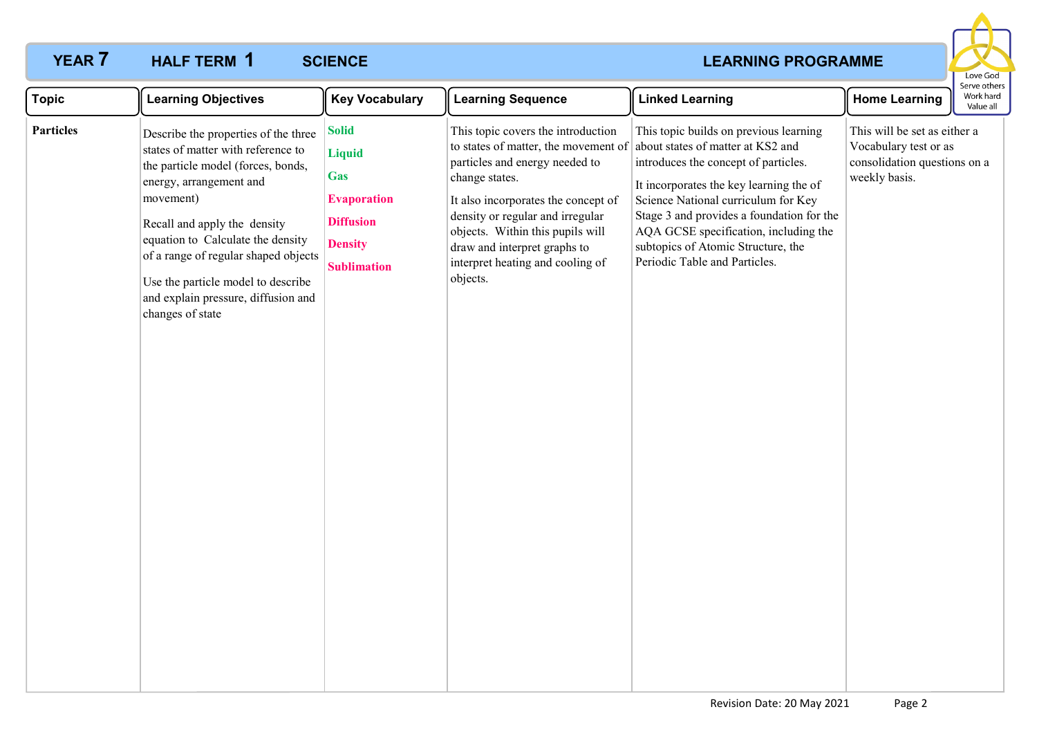# **YEAR 7 HALF TERM 1** SCIENCE **All 2009 CONVERTS AND THE CONVERTS AND REARNING PROGRAMME**

## **HALF TERM SCIENCE 1**



| <b>Topic</b>     | <b>Learning Objectives</b>                                                                                                                                                                                                                                                                                                                                             | <b>Key Vocabulary</b>                                                                                                         | <b>Learning Sequence</b>                                                                                                                                                                                                                                                                                                      | <b>Linked Learning</b>                                                                                                                                                                                                                                                                                                                                             | <b>Home Learning</b>                                                                                   | Serve others<br>Work hard<br>Value all |
|------------------|------------------------------------------------------------------------------------------------------------------------------------------------------------------------------------------------------------------------------------------------------------------------------------------------------------------------------------------------------------------------|-------------------------------------------------------------------------------------------------------------------------------|-------------------------------------------------------------------------------------------------------------------------------------------------------------------------------------------------------------------------------------------------------------------------------------------------------------------------------|--------------------------------------------------------------------------------------------------------------------------------------------------------------------------------------------------------------------------------------------------------------------------------------------------------------------------------------------------------------------|--------------------------------------------------------------------------------------------------------|----------------------------------------|
| <b>Particles</b> | Describe the properties of the three<br>states of matter with reference to<br>the particle model (forces, bonds,<br>energy, arrangement and<br>movement)<br>Recall and apply the density<br>equation to Calculate the density<br>of a range of regular shaped objects<br>Use the particle model to describe<br>and explain pressure, diffusion and<br>changes of state | <b>Solid</b><br><b>Liquid</b><br><b>Gas</b><br><b>Evaporation</b><br><b>Diffusion</b><br><b>Density</b><br><b>Sublimation</b> | This topic covers the introduction<br>to states of matter, the movement of<br>particles and energy needed to<br>change states.<br>It also incorporates the concept of<br>density or regular and irregular<br>objects. Within this pupils will<br>draw and interpret graphs to<br>interpret heating and cooling of<br>objects. | This topic builds on previous learning<br>about states of matter at KS2 and<br>introduces the concept of particles.<br>It incorporates the key learning the of<br>Science National curriculum for Key<br>Stage 3 and provides a foundation for the<br>AQA GCSE specification, including the<br>subtopics of Atomic Structure, the<br>Periodic Table and Particles. | This will be set as either a<br>Vocabulary test or as<br>consolidation questions on a<br>weekly basis. |                                        |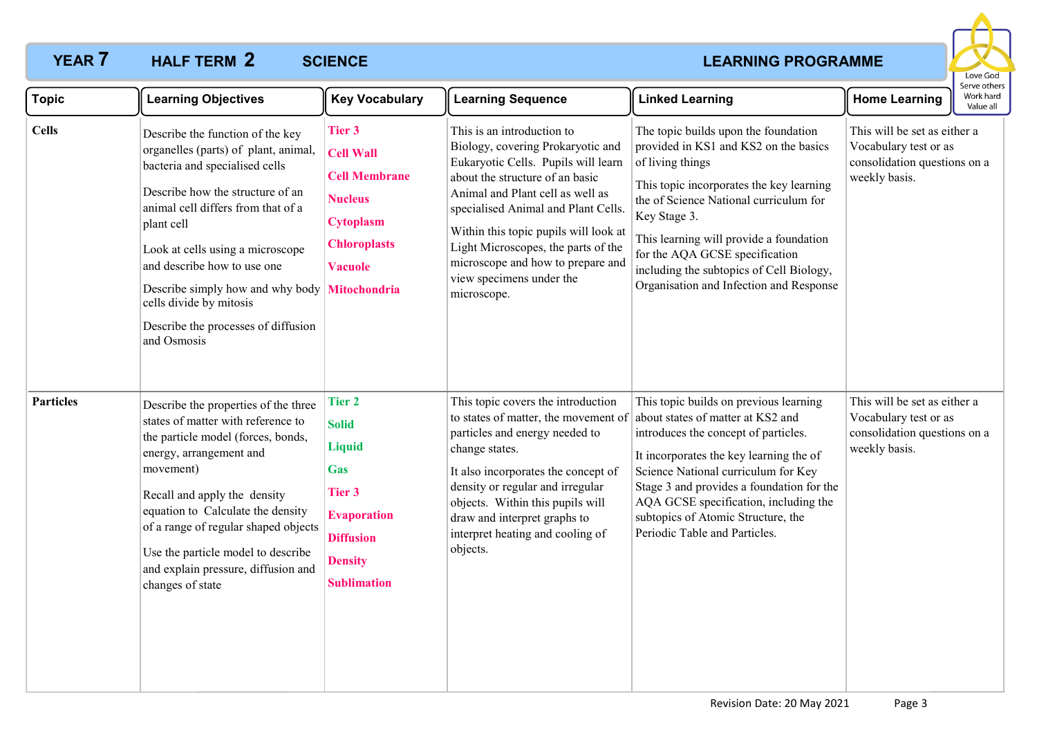### **YEAR 7 HALF TERM 2 SCIENCE** *CONSTRUCTER <b>CONSTRUCTER* **CONSTRUCTER CONSTRUCTER HALF TERM 2** SCIENCE



| <b>Topic</b>     | <b>Learning Objectives</b>                                                                                                                                                                                                                                                                                                                                                                              | <b>Key Vocabulary</b>                                                                                                                                           | <b>Learning Sequence</b>                                                                                                                                                                                                                                                                                                                                                             | <b>Linked Learning</b>                                                                                                                                                                                                                                                                                                                                                      | <b>Home Learning</b>                                                                                   | Serve others<br>Work hard<br>Value all |
|------------------|---------------------------------------------------------------------------------------------------------------------------------------------------------------------------------------------------------------------------------------------------------------------------------------------------------------------------------------------------------------------------------------------------------|-----------------------------------------------------------------------------------------------------------------------------------------------------------------|--------------------------------------------------------------------------------------------------------------------------------------------------------------------------------------------------------------------------------------------------------------------------------------------------------------------------------------------------------------------------------------|-----------------------------------------------------------------------------------------------------------------------------------------------------------------------------------------------------------------------------------------------------------------------------------------------------------------------------------------------------------------------------|--------------------------------------------------------------------------------------------------------|----------------------------------------|
| <b>Cells</b>     | Describe the function of the key<br>organelles (parts) of plant, animal,<br>bacteria and specialised cells<br>Describe how the structure of an<br>animal cell differs from that of a<br>plant cell<br>Look at cells using a microscope<br>and describe how to use one<br>Describe simply how and why body Mitochondria<br>cells divide by mitosis<br>Describe the processes of diffusion<br>and Osmosis | <b>Tier 3</b><br><b>Cell Wall</b><br><b>Cell Membrane</b><br><b>Nucleus</b><br><b>Cytoplasm</b><br><b>Chloroplasts</b><br><b>Vacuole</b>                        | This is an introduction to<br>Biology, covering Prokaryotic and<br>Eukaryotic Cells. Pupils will learn<br>about the structure of an basic<br>Animal and Plant cell as well as<br>specialised Animal and Plant Cells.<br>Within this topic pupils will look at<br>Light Microscopes, the parts of the<br>microscope and how to prepare and<br>view specimens under the<br>microscope. | The topic builds upon the foundation<br>provided in KS1 and KS2 on the basics<br>of living things<br>This topic incorporates the key learning<br>the of Science National curriculum for<br>Key Stage 3.<br>This learning will provide a foundation<br>for the AQA GCSE specification<br>including the subtopics of Cell Biology,<br>Organisation and Infection and Response | This will be set as either a<br>Vocabulary test or as<br>consolidation questions on a<br>weekly basis. |                                        |
| <b>Particles</b> | Describe the properties of the three<br>states of matter with reference to<br>the particle model (forces, bonds,<br>energy, arrangement and<br>movement)<br>Recall and apply the density<br>equation to Calculate the density<br>of a range of regular shaped objects<br>Use the particle model to describe<br>and explain pressure, diffusion and<br>changes of state                                  | <b>Tier 2</b><br><b>Solid</b><br><b>Liquid</b><br><b>Gas</b><br><b>Tier 3</b><br><b>Evaporation</b><br><b>Diffusion</b><br><b>Density</b><br><b>Sublimation</b> | This topic covers the introduction<br>to states of matter, the movement of<br>particles and energy needed to<br>change states.<br>It also incorporates the concept of<br>density or regular and irregular<br>objects. Within this pupils will<br>draw and interpret graphs to<br>interpret heating and cooling of<br>objects.                                                        | This topic builds on previous learning<br>about states of matter at KS2 and<br>introduces the concept of particles.<br>It incorporates the key learning the of<br>Science National curriculum for Key<br>Stage 3 and provides a foundation for the<br>AQA GCSE specification, including the<br>subtopics of Atomic Structure, the<br>Periodic Table and Particles.          | This will be set as either a<br>Vocabulary test or as<br>consolidation questions on a<br>weekly basis. |                                        |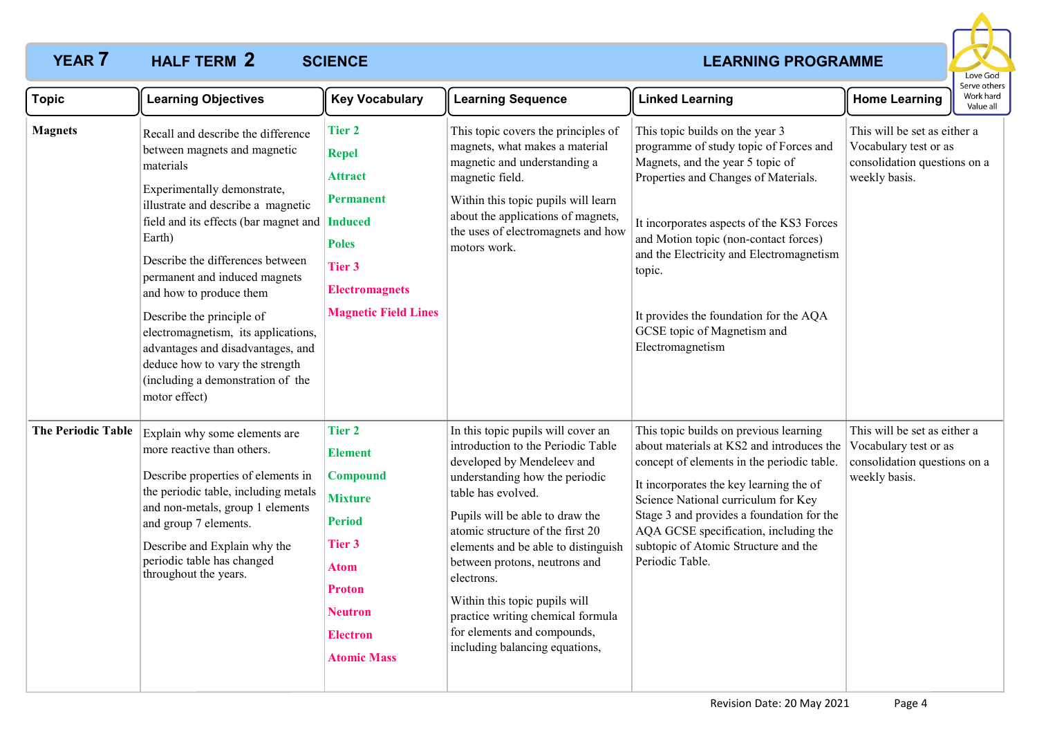### **YEAR 7 HALF TERM 2 SCIENCE** *CONSTRUCTER <b>CONSTRUCTER* **CONSTRUCTER CONSTRUCTER HALF TERM 2** SCIENCE



| <b>Topic</b>              | <b>Learning Objectives</b>                                                                                                                                                                                                                                                                                                                                                                                                                                                                                          | <b>Key Vocabulary</b>                                                                                                                                                                      | <b>Learning Sequence</b>                                                                                                                                                                                                                                                                                                                                                                                                                                           | <b>Linked Learning</b>                                                                                                                                                                                                                                                                                                                                                                         | <b>Home Learning</b>                                                                                   | serve others<br>Work hard<br>Value all |
|---------------------------|---------------------------------------------------------------------------------------------------------------------------------------------------------------------------------------------------------------------------------------------------------------------------------------------------------------------------------------------------------------------------------------------------------------------------------------------------------------------------------------------------------------------|--------------------------------------------------------------------------------------------------------------------------------------------------------------------------------------------|--------------------------------------------------------------------------------------------------------------------------------------------------------------------------------------------------------------------------------------------------------------------------------------------------------------------------------------------------------------------------------------------------------------------------------------------------------------------|------------------------------------------------------------------------------------------------------------------------------------------------------------------------------------------------------------------------------------------------------------------------------------------------------------------------------------------------------------------------------------------------|--------------------------------------------------------------------------------------------------------|----------------------------------------|
| <b>Magnets</b>            | Recall and describe the difference<br>between magnets and magnetic<br>materials<br>Experimentally demonstrate,<br>illustrate and describe a magnetic<br>field and its effects (bar magnet and   Induced<br>Earth)<br>Describe the differences between<br>permanent and induced magnets<br>and how to produce them<br>Describe the principle of<br>electromagnetism, its applications,<br>advantages and disadvantages, and<br>deduce how to vary the strength<br>(including a demonstration of the<br>motor effect) | <b>Tier 2</b><br><b>Repel</b><br><b>Attract</b><br><b>Permanent</b><br><b>Poles</b><br>Tier 3<br><b>Electromagnets</b><br><b>Magnetic Field Lines</b>                                      | This topic covers the principles of<br>magnets, what makes a material<br>magnetic and understanding a<br>magnetic field.<br>Within this topic pupils will learn<br>about the applications of magnets,<br>the uses of electromagnets and how<br>motors work.                                                                                                                                                                                                        | This topic builds on the year 3<br>programme of study topic of Forces and<br>Magnets, and the year 5 topic of<br>Properties and Changes of Materials.<br>It incorporates aspects of the KS3 Forces<br>and Motion topic (non-contact forces)<br>and the Electricity and Electromagnetism<br>topic.<br>It provides the foundation for the AQA<br>GCSE topic of Magnetism and<br>Electromagnetism | This will be set as either a<br>Vocabulary test or as<br>consolidation questions on a<br>weekly basis. |                                        |
| <b>The Periodic Table</b> | Explain why some elements are<br>more reactive than others.<br>Describe properties of elements in<br>the periodic table, including metals<br>and non-metals, group 1 elements<br>and group 7 elements.<br>Describe and Explain why the<br>periodic table has changed<br>throughout the years.                                                                                                                                                                                                                       | <b>Tier 2</b><br><b>Element</b><br><b>Compound</b><br><b>Mixture</b><br><b>Period</b><br><b>Tier 3</b><br>Atom<br><b>Proton</b><br><b>Neutron</b><br><b>Electron</b><br><b>Atomic Mass</b> | In this topic pupils will cover an<br>introduction to the Periodic Table<br>developed by Mendeleev and<br>understanding how the periodic<br>table has evolved.<br>Pupils will be able to draw the<br>atomic structure of the first 20<br>elements and be able to distinguish<br>between protons, neutrons and<br>electrons.<br>Within this topic pupils will<br>practice writing chemical formula<br>for elements and compounds,<br>including balancing equations, | This topic builds on previous learning<br>about materials at KS2 and introduces the<br>concept of elements in the periodic table.<br>It incorporates the key learning the of<br>Science National curriculum for Key<br>Stage 3 and provides a foundation for the<br>AQA GCSE specification, including the<br>subtopic of Atomic Structure and the<br>Periodic Table.                           | This will be set as either a<br>Vocabulary test or as<br>consolidation questions on a<br>weekly basis. |                                        |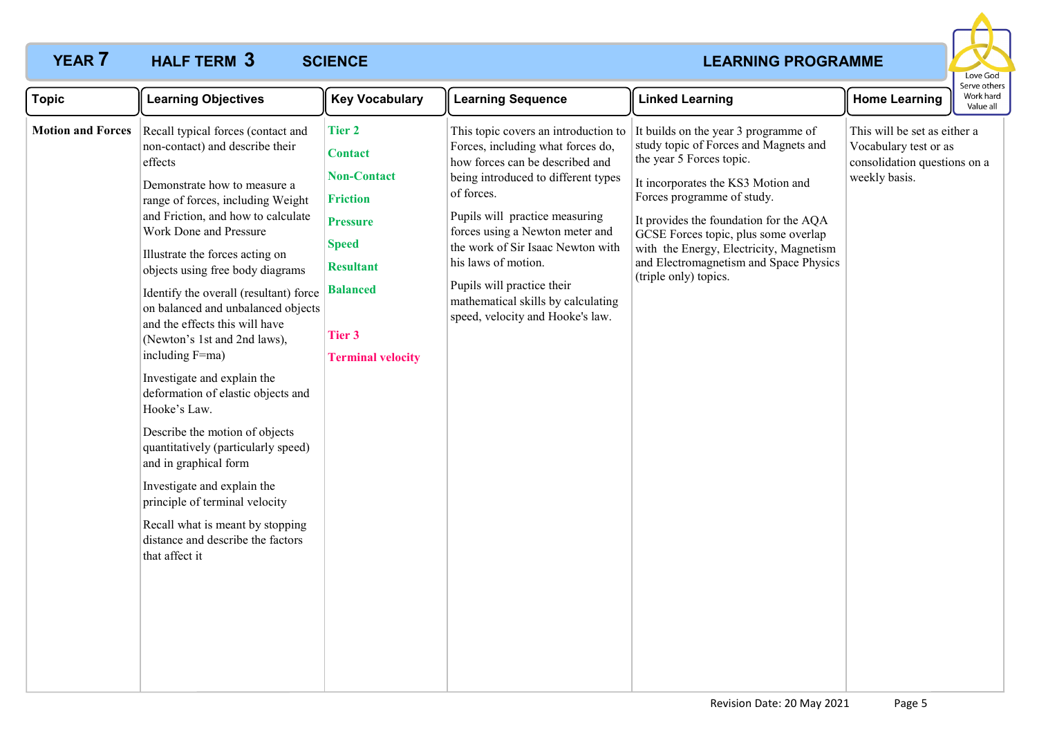# **YEAR 7 HALF TERM 3 SCIENCE** *CONSTRUCTER <b>CONSTRUCTER CONSTRUCTER CONSTRUCTER*



| <b>Topic</b>             | <b>Learning Objectives</b>                                                                                                                                                                                                                                                                                                                                                                                                                                                                                                                                                                                                                                                                                                                                                                                           | <b>Key Vocabulary</b>                                                                                                                                                                           | <b>Learning Sequence</b>                                                                                                                                                                                                                                                                                                                                                                                   | <b>Linked Learning</b>                                                                                                                                                                                                                                                                                                                                                        | <b>Home Learning</b>                                                                                   | Serve others<br>Work hard<br>Value all |
|--------------------------|----------------------------------------------------------------------------------------------------------------------------------------------------------------------------------------------------------------------------------------------------------------------------------------------------------------------------------------------------------------------------------------------------------------------------------------------------------------------------------------------------------------------------------------------------------------------------------------------------------------------------------------------------------------------------------------------------------------------------------------------------------------------------------------------------------------------|-------------------------------------------------------------------------------------------------------------------------------------------------------------------------------------------------|------------------------------------------------------------------------------------------------------------------------------------------------------------------------------------------------------------------------------------------------------------------------------------------------------------------------------------------------------------------------------------------------------------|-------------------------------------------------------------------------------------------------------------------------------------------------------------------------------------------------------------------------------------------------------------------------------------------------------------------------------------------------------------------------------|--------------------------------------------------------------------------------------------------------|----------------------------------------|
| <b>Motion and Forces</b> | Recall typical forces (contact and<br>non-contact) and describe their<br>effects<br>Demonstrate how to measure a<br>range of forces, including Weight<br>and Friction, and how to calculate<br>Work Done and Pressure<br>Illustrate the forces acting on<br>objects using free body diagrams<br>Identify the overall (resultant) force<br>on balanced and unbalanced objects<br>and the effects this will have<br>(Newton's 1st and 2nd laws),<br>including F=ma)<br>Investigate and explain the<br>deformation of elastic objects and<br>Hooke's Law.<br>Describe the motion of objects<br>quantitatively (particularly speed)<br>and in graphical form<br>Investigate and explain the<br>principle of terminal velocity<br>Recall what is meant by stopping<br>distance and describe the factors<br>that affect it | <b>Tier 2</b><br><b>Contact</b><br><b>Non-Contact</b><br><b>Friction</b><br><b>Pressure</b><br><b>Speed</b><br><b>Resultant</b><br><b>Balanced</b><br><b>Tier 3</b><br><b>Terminal velocity</b> | This topic covers an introduction to<br>Forces, including what forces do,<br>how forces can be described and<br>being introduced to different types<br>of forces.<br>Pupils will practice measuring<br>forces using a Newton meter and<br>the work of Sir Isaac Newton with<br>his laws of motion.<br>Pupils will practice their<br>mathematical skills by calculating<br>speed, velocity and Hooke's law. | It builds on the year 3 programme of<br>study topic of Forces and Magnets and<br>the year 5 Forces topic.<br>It incorporates the KS3 Motion and<br>Forces programme of study.<br>It provides the foundation for the AQA<br>GCSE Forces topic, plus some overlap<br>with the Energy, Electricity, Magnetism<br>and Electromagnetism and Space Physics<br>(triple only) topics. | This will be set as either a<br>Vocabulary test or as<br>consolidation questions on a<br>weekly basis. |                                        |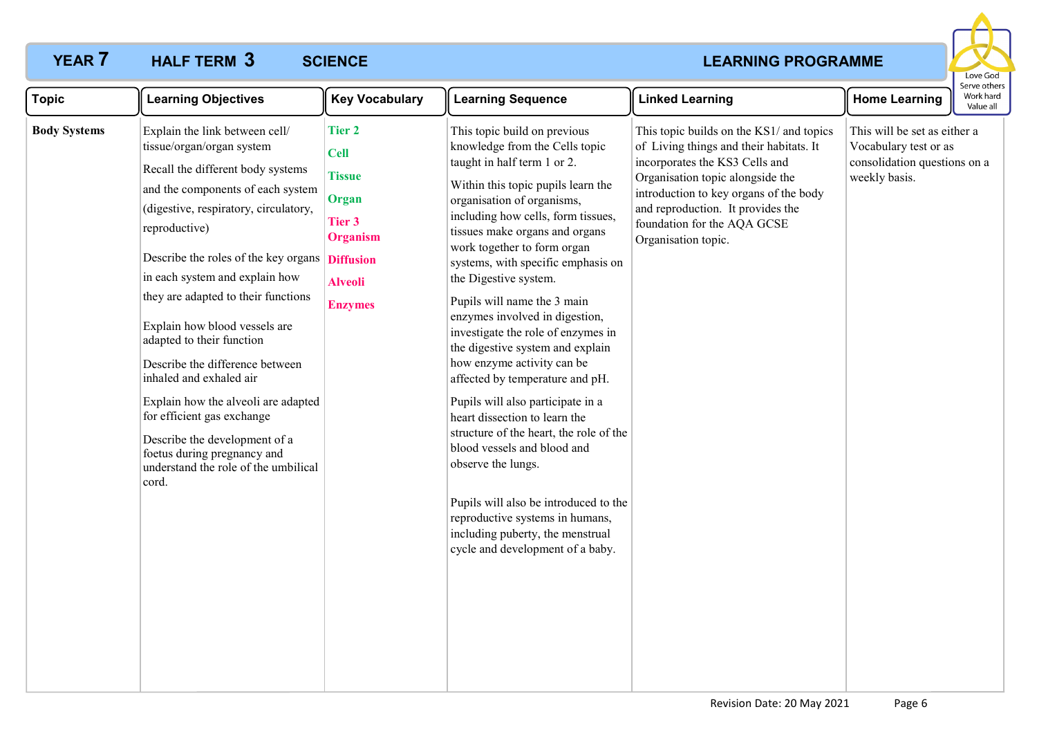# **YEAR 7 HALF TERM 3 SCIENCE** *CONSTRUCTER <b>CONSTRUCTER* **CONSTRUCTER CONSTRUCTER**



| <b>Topic</b>        | <b>Learning Objectives</b>                                                                                                                                                                                                                                                                                                                                                                                                                                                                                                                                                                                                                   | <b>Key Vocabulary</b>                                                                                            | <b>Learning Sequence</b>                                                                                                                                                                                                                                                                                                                                                                                                                                                                                                                                                                                                                                                                                                                                                                                                                                                      | <b>Linked Learning</b>                                                                                                                                                                                                                                                                         | <b>Home Learning</b>                                                                                   | Serve other<br>Work hard<br>Value all |
|---------------------|----------------------------------------------------------------------------------------------------------------------------------------------------------------------------------------------------------------------------------------------------------------------------------------------------------------------------------------------------------------------------------------------------------------------------------------------------------------------------------------------------------------------------------------------------------------------------------------------------------------------------------------------|------------------------------------------------------------------------------------------------------------------|-------------------------------------------------------------------------------------------------------------------------------------------------------------------------------------------------------------------------------------------------------------------------------------------------------------------------------------------------------------------------------------------------------------------------------------------------------------------------------------------------------------------------------------------------------------------------------------------------------------------------------------------------------------------------------------------------------------------------------------------------------------------------------------------------------------------------------------------------------------------------------|------------------------------------------------------------------------------------------------------------------------------------------------------------------------------------------------------------------------------------------------------------------------------------------------|--------------------------------------------------------------------------------------------------------|---------------------------------------|
| <b>Body Systems</b> | Explain the link between cell/<br>tissue/organ/organ system<br>Recall the different body systems<br>and the components of each system<br>(digestive, respiratory, circulatory,<br>reproductive)<br>Describe the roles of the key organs Diffusion<br>in each system and explain how<br>they are adapted to their functions<br>Explain how blood vessels are<br>adapted to their function<br>Describe the difference between<br>inhaled and exhaled air<br>Explain how the alveoli are adapted<br>for efficient gas exchange<br>Describe the development of a<br>foetus during pregnancy and<br>understand the role of the umbilical<br>cord. | <b>Tier 2</b><br><b>Cell</b><br><b>Tissue</b><br>Organ<br>Tier 3<br>Organism<br><b>Alveoli</b><br><b>Enzymes</b> | This topic build on previous<br>knowledge from the Cells topic<br>taught in half term 1 or 2.<br>Within this topic pupils learn the<br>organisation of organisms,<br>including how cells, form tissues,<br>tissues make organs and organs<br>work together to form organ<br>systems, with specific emphasis on<br>the Digestive system.<br>Pupils will name the 3 main<br>enzymes involved in digestion,<br>investigate the role of enzymes in<br>the digestive system and explain<br>how enzyme activity can be<br>affected by temperature and pH.<br>Pupils will also participate in a<br>heart dissection to learn the<br>structure of the heart, the role of the<br>blood vessels and blood and<br>observe the lungs.<br>Pupils will also be introduced to the<br>reproductive systems in humans,<br>including puberty, the menstrual<br>cycle and development of a baby. | This topic builds on the KS1/ and topics<br>of Living things and their habitats. It<br>incorporates the KS3 Cells and<br>Organisation topic alongside the<br>introduction to key organs of the body<br>and reproduction. It provides the<br>foundation for the AQA GCSE<br>Organisation topic. | This will be set as either a<br>Vocabulary test or as<br>consolidation questions on a<br>weekly basis. |                                       |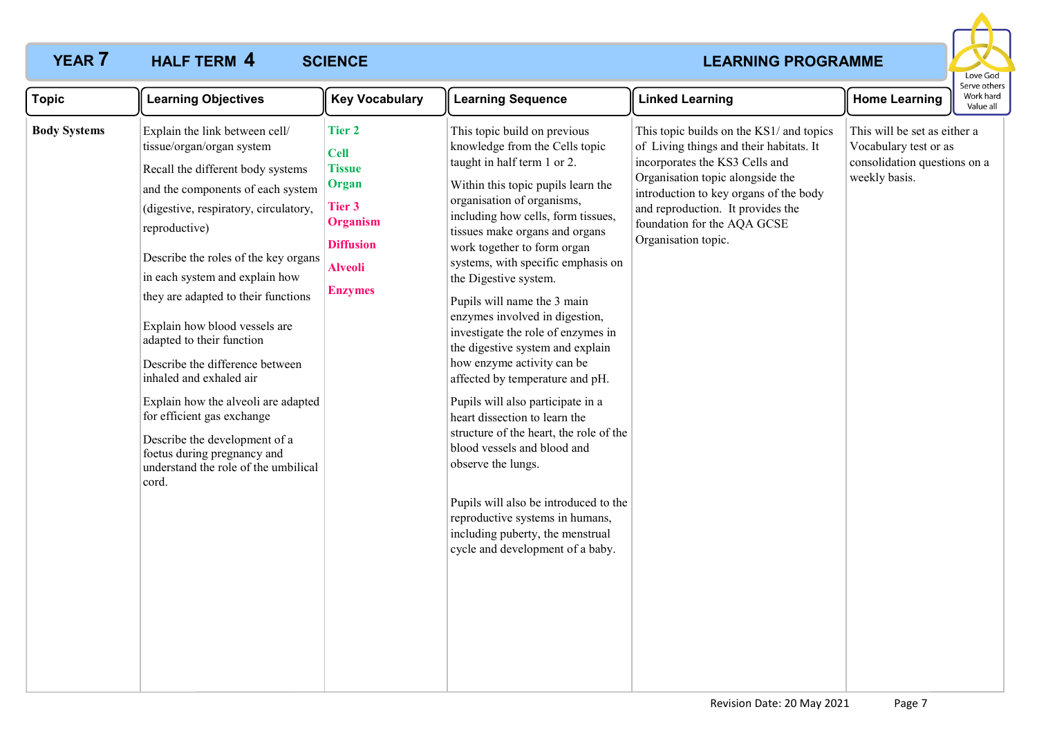# **YEAR 7 HALF TERM 4 SCIENCE** *CONSTRUCTER <b>CONSTRUCTER* **CONSTRUCTER CONSTRUCTER**



| <b>Topic</b>        | <b>Learning Objectives</b>                                                                                                                                                                                                                                                                                                                                                                                                                                                                                                                                                                                                         | <b>Key Vocabulary</b>                                                                                                                       | <b>Learning Sequence</b>                                                                                                                                                                                                                                                                                                                                                                                                                                                                                                                                                                                                                                                                                                                                                                                                                                                      | <b>Linked Learning</b>                                                                                                                                                                                                                                                                         | <b>Home Learning</b>                                                                                   | Serve other<br>Work hard<br>Value all |
|---------------------|------------------------------------------------------------------------------------------------------------------------------------------------------------------------------------------------------------------------------------------------------------------------------------------------------------------------------------------------------------------------------------------------------------------------------------------------------------------------------------------------------------------------------------------------------------------------------------------------------------------------------------|---------------------------------------------------------------------------------------------------------------------------------------------|-------------------------------------------------------------------------------------------------------------------------------------------------------------------------------------------------------------------------------------------------------------------------------------------------------------------------------------------------------------------------------------------------------------------------------------------------------------------------------------------------------------------------------------------------------------------------------------------------------------------------------------------------------------------------------------------------------------------------------------------------------------------------------------------------------------------------------------------------------------------------------|------------------------------------------------------------------------------------------------------------------------------------------------------------------------------------------------------------------------------------------------------------------------------------------------|--------------------------------------------------------------------------------------------------------|---------------------------------------|
| <b>Body Systems</b> | Explain the link between cell/<br>tissue/organ/organ system<br>Recall the different body systems<br>and the components of each system<br>(digestive, respiratory, circulatory,<br>reproductive)<br>Describe the roles of the key organs<br>in each system and explain how<br>they are adapted to their functions<br>Explain how blood vessels are<br>adapted to their function<br>Describe the difference between<br>inhaled and exhaled air<br>Explain how the alveoli are adapted<br>for efficient gas exchange<br>Describe the development of a<br>foetus during pregnancy and<br>understand the role of the umbilical<br>cord. | <b>Tier 2</b><br><b>Cell</b><br><b>Tissue</b><br>Organ<br>Tier 3<br><b>Organism</b><br><b>Diffusion</b><br><b>Alveoli</b><br><b>Enzymes</b> | This topic build on previous<br>knowledge from the Cells topic<br>taught in half term 1 or 2.<br>Within this topic pupils learn the<br>organisation of organisms,<br>including how cells, form tissues,<br>tissues make organs and organs<br>work together to form organ<br>systems, with specific emphasis on<br>the Digestive system.<br>Pupils will name the 3 main<br>enzymes involved in digestion,<br>investigate the role of enzymes in<br>the digestive system and explain<br>how enzyme activity can be<br>affected by temperature and pH.<br>Pupils will also participate in a<br>heart dissection to learn the<br>structure of the heart, the role of the<br>blood vessels and blood and<br>observe the lungs.<br>Pupils will also be introduced to the<br>reproductive systems in humans,<br>including puberty, the menstrual<br>cycle and development of a baby. | This topic builds on the KS1/ and topics<br>of Living things and their habitats. It<br>incorporates the KS3 Cells and<br>Organisation topic alongside the<br>introduction to key organs of the body<br>and reproduction. It provides the<br>foundation for the AQA GCSE<br>Organisation topic. | This will be set as either a<br>Vocabulary test or as<br>consolidation questions on a<br>weekly basis. |                                       |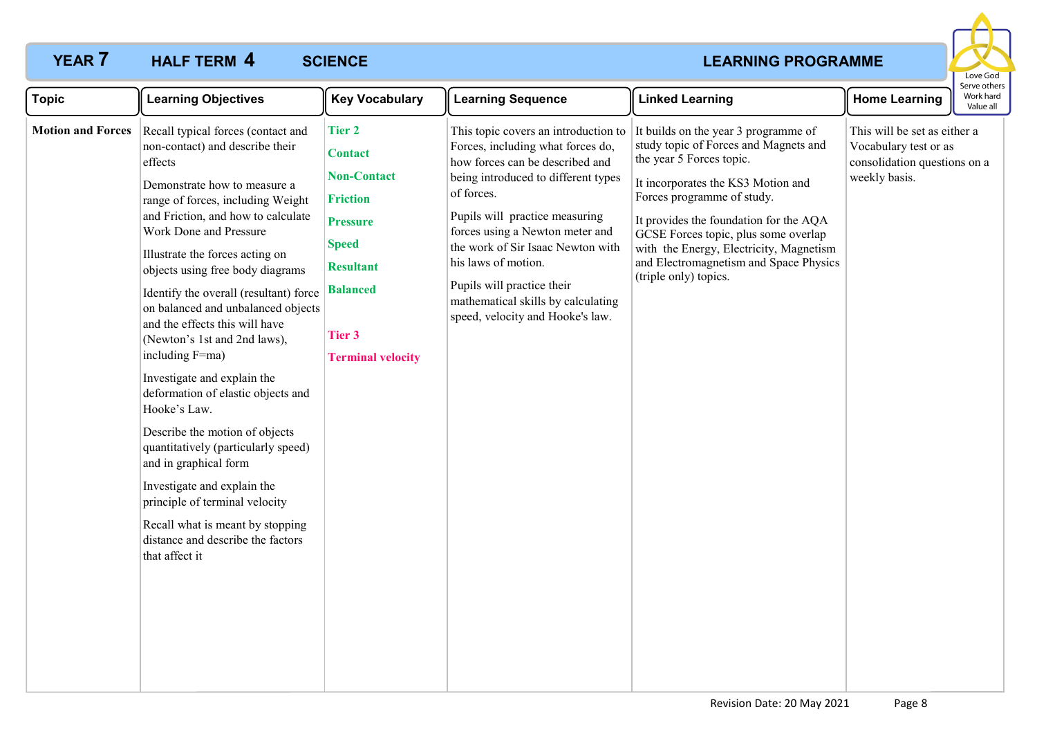# **YEAR 7 HALF TERM 4** SCIENCE **ACCIDED ASSESSED AS A REAL METAL CONSUMING PROGRAMME**



| <b>Topic</b>             | <b>Learning Objectives</b>                                                                                                                                                                                                                                                                                                                                                                                                                                                                                                                                                                                                                                                                                                                                                                                                      | <b>Key Vocabulary</b>                                                                                                                                                 | <b>Learning Sequence</b>                                                                                                                                                                                                                                                                                                                                                                                   | <b>Linked Learning</b>                                                                                                                                                                                                                                                                                                                                                        | <b>Home Learning</b>                                                                                   | Serve others<br>Work hard<br>Value all |
|--------------------------|---------------------------------------------------------------------------------------------------------------------------------------------------------------------------------------------------------------------------------------------------------------------------------------------------------------------------------------------------------------------------------------------------------------------------------------------------------------------------------------------------------------------------------------------------------------------------------------------------------------------------------------------------------------------------------------------------------------------------------------------------------------------------------------------------------------------------------|-----------------------------------------------------------------------------------------------------------------------------------------------------------------------|------------------------------------------------------------------------------------------------------------------------------------------------------------------------------------------------------------------------------------------------------------------------------------------------------------------------------------------------------------------------------------------------------------|-------------------------------------------------------------------------------------------------------------------------------------------------------------------------------------------------------------------------------------------------------------------------------------------------------------------------------------------------------------------------------|--------------------------------------------------------------------------------------------------------|----------------------------------------|
| <b>Motion and Forces</b> | Recall typical forces (contact and<br>non-contact) and describe their<br>effects<br>Demonstrate how to measure a<br>range of forces, including Weight<br>and Friction, and how to calculate<br>Work Done and Pressure<br>Illustrate the forces acting on<br>objects using free body diagrams<br>Identify the overall (resultant) force   Balanced<br>on balanced and unbalanced objects<br>and the effects this will have<br>(Newton's 1st and 2nd laws),<br>including F=ma)<br>Investigate and explain the<br>deformation of elastic objects and<br>Hooke's Law.<br>Describe the motion of objects<br>quantitatively (particularly speed)<br>and in graphical form<br>Investigate and explain the<br>principle of terminal velocity<br>Recall what is meant by stopping<br>distance and describe the factors<br>that affect it | <b>Tier 2</b><br><b>Contact</b><br><b>Non-Contact</b><br><b>Friction</b><br><b>Pressure</b><br><b>Speed</b><br><b>Resultant</b><br>Tier 3<br><b>Terminal velocity</b> | This topic covers an introduction to<br>Forces, including what forces do,<br>how forces can be described and<br>being introduced to different types<br>of forces.<br>Pupils will practice measuring<br>forces using a Newton meter and<br>the work of Sir Isaac Newton with<br>his laws of motion.<br>Pupils will practice their<br>mathematical skills by calculating<br>speed, velocity and Hooke's law. | It builds on the year 3 programme of<br>study topic of Forces and Magnets and<br>the year 5 Forces topic.<br>It incorporates the KS3 Motion and<br>Forces programme of study.<br>It provides the foundation for the AQA<br>GCSE Forces topic, plus some overlap<br>with the Energy, Electricity, Magnetism<br>and Electromagnetism and Space Physics<br>(triple only) topics. | This will be set as either a<br>Vocabulary test or as<br>consolidation questions on a<br>weekly basis. |                                        |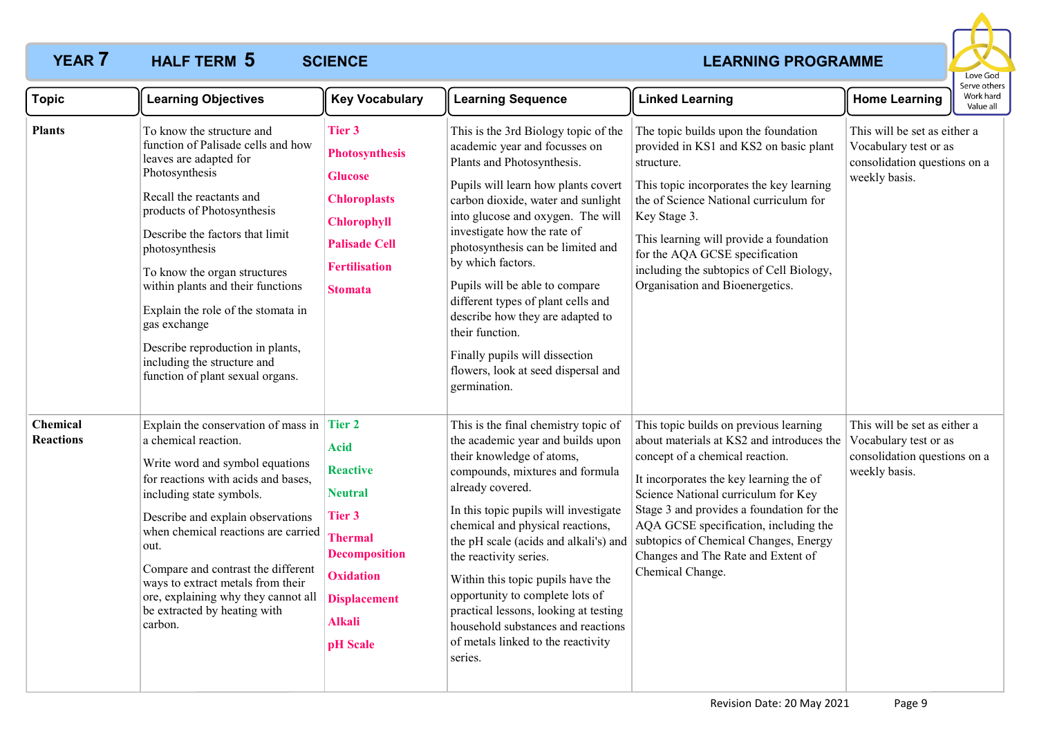# **YEAR 7 HALF TERM 5 SCIENCE** *CONSTRUCTER AND CONSTRUCTER AT A REARNING PROGRAMME*

### **HALF TERM SCIENCE 5**



| <b>Topic</b>                 | <b>Learning Objectives</b>                                                                                                                                                                                                                                                                                                                                                                                                                                   | <b>Key Vocabulary</b>                                                                                                                                                                         | <b>Learning Sequence</b>                                                                                                                                                                                                                                                                                                                                                                                                                                                                                                               | <b>Linked Learning</b>                                                                                                                                                                                                                                                                                                                                                                            | <b>Home Learning</b>                                                                                   | Serve others<br>Work hard<br>Value all |
|------------------------------|--------------------------------------------------------------------------------------------------------------------------------------------------------------------------------------------------------------------------------------------------------------------------------------------------------------------------------------------------------------------------------------------------------------------------------------------------------------|-----------------------------------------------------------------------------------------------------------------------------------------------------------------------------------------------|----------------------------------------------------------------------------------------------------------------------------------------------------------------------------------------------------------------------------------------------------------------------------------------------------------------------------------------------------------------------------------------------------------------------------------------------------------------------------------------------------------------------------------------|---------------------------------------------------------------------------------------------------------------------------------------------------------------------------------------------------------------------------------------------------------------------------------------------------------------------------------------------------------------------------------------------------|--------------------------------------------------------------------------------------------------------|----------------------------------------|
| <b>Plants</b>                | To know the structure and<br>function of Palisade cells and how<br>leaves are adapted for<br>Photosynthesis<br>Recall the reactants and<br>products of Photosynthesis<br>Describe the factors that limit<br>photosynthesis<br>To know the organ structures<br>within plants and their functions<br>Explain the role of the stomata in<br>gas exchange<br>Describe reproduction in plants,<br>including the structure and<br>function of plant sexual organs. | <b>Tier 3</b><br><b>Photosynthesis</b><br><b>Glucose</b><br><b>Chloroplasts</b><br><b>Chlorophyll</b><br><b>Palisade Cell</b><br><b>Fertilisation</b><br><b>Stomata</b>                       | This is the 3rd Biology topic of the<br>academic year and focusses on<br>Plants and Photosynthesis.<br>Pupils will learn how plants covert<br>carbon dioxide, water and sunlight<br>into glucose and oxygen. The will<br>investigate how the rate of<br>photosynthesis can be limited and<br>by which factors.<br>Pupils will be able to compare<br>different types of plant cells and<br>describe how they are adapted to<br>their function.<br>Finally pupils will dissection<br>flowers, look at seed dispersal and<br>germination. | The topic builds upon the foundation<br>provided in KS1 and KS2 on basic plant<br>structure.<br>This topic incorporates the key learning<br>the of Science National curriculum for<br>Key Stage 3.<br>This learning will provide a foundation<br>for the AQA GCSE specification<br>including the subtopics of Cell Biology,<br>Organisation and Bioenergetics.                                    | This will be set as either a<br>Vocabulary test or as<br>consolidation questions on a<br>weekly basis. |                                        |
| Chemical<br><b>Reactions</b> | Explain the conservation of mass in $\vert$<br>a chemical reaction.<br>Write word and symbol equations<br>for reactions with acids and bases,<br>including state symbols.<br>Describe and explain observations<br>when chemical reactions are carried<br>out.<br>Compare and contrast the different<br>ways to extract metals from their<br>ore, explaining why they cannot all<br>be extracted by heating with<br>carbon.                                   | <b>Tier 2</b><br><b>Acid</b><br><b>Reactive</b><br><b>Neutral</b><br>Tier 3<br><b>Thermal</b><br><b>Decomposition</b><br><b>Oxidation</b><br><b>Displacement</b><br><b>Alkali</b><br>pH Scale | This is the final chemistry topic of<br>the academic year and builds upon<br>their knowledge of atoms,<br>compounds, mixtures and formula<br>already covered.<br>In this topic pupils will investigate<br>chemical and physical reactions,<br>the pH scale (acids and alkali's) and<br>the reactivity series.<br>Within this topic pupils have the<br>opportunity to complete lots of<br>practical lessons, looking at testing<br>household substances and reactions<br>of metals linked to the reactivity<br>series.                  | This topic builds on previous learning<br>about materials at KS2 and introduces the<br>concept of a chemical reaction.<br>It incorporates the key learning the of<br>Science National curriculum for Key<br>Stage 3 and provides a foundation for the<br>AQA GCSE specification, including the<br>subtopics of Chemical Changes, Energy<br>Changes and The Rate and Extent of<br>Chemical Change. | This will be set as either a<br>Vocabulary test or as<br>consolidation questions on a<br>weekly basis. |                                        |